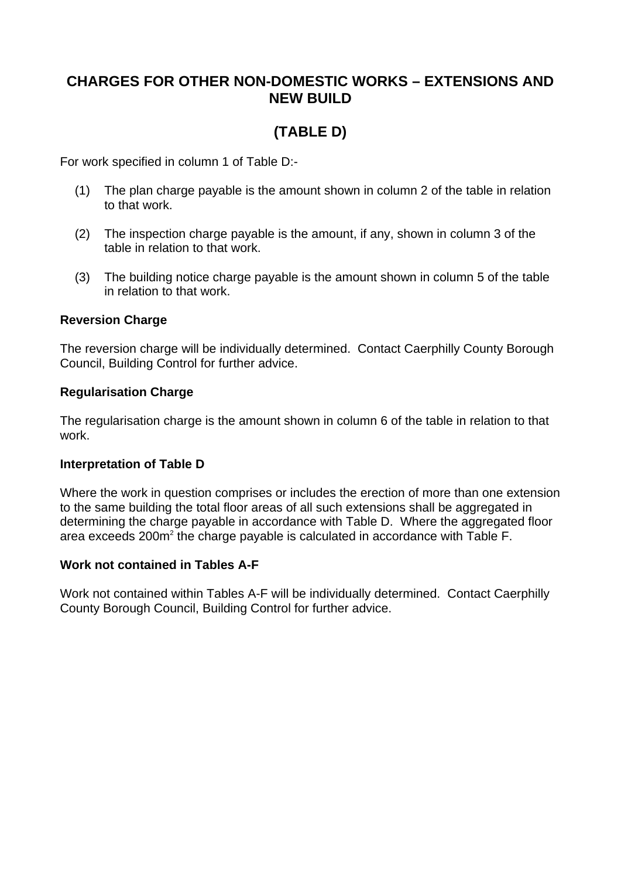## **CHARGES FOR OTHER NON-DOMESTIC WORKS – EXTENSIONS AND NEW BUILD**

# **(TABLE D)**

For work specified in column 1 of Table D:-

- (1) The plan charge payable is the amount shown in column 2 of the table in relation to that work.
- (2) The inspection charge payable is the amount, if any, shown in column 3 of the table in relation to that work.
- (3) The building notice charge payable is the amount shown in column 5 of the table in relation to that work.

#### **Reversion Charge**

The reversion charge will be individually determined. Contact Caerphilly County Borough Council, Building Control for further advice.

#### **Regularisation Charge**

The regularisation charge is the amount shown in column 6 of the table in relation to that work.

#### **Interpretation of Table D**

Where the work in question comprises or includes the erection of more than one extension to the same building the total floor areas of all such extensions shall be aggregated in determining the charge payable in accordance with Table D. Where the aggregated floor area exceeds  $200m^2$  the charge payable is calculated in accordance with Table F.

#### **Work not contained in Tables A-F**

Work not contained within Tables A-F will be individually determined. Contact Caerphilly County Borough Council, Building Control for further advice.